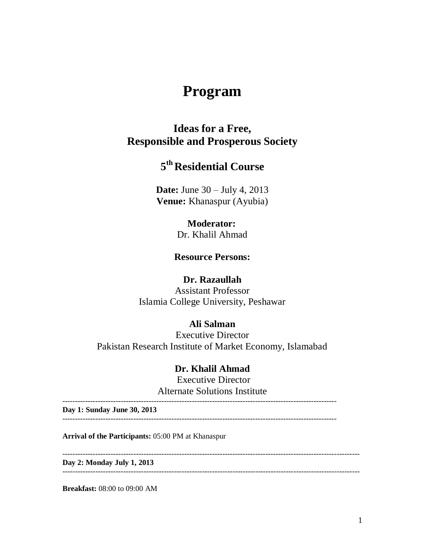# **Program**

## **Ideas for a Free, Responsible and Prosperous Society**

## **5 thResidential Course**

**Date:** June 30 – July 4, 2013 **Venue:** Khanaspur (Ayubia)

### **Moderator:**

Dr. Khalil Ahmad

#### **Resource Persons:**

#### **Dr. Razaullah**

Assistant Professor Islamia College University, Peshawar

### **Ali Salman**

Executive Director Pakistan Research Institute of Market Economy, Islamabad

#### **Dr. Khalil Ahmad**

Executive Director Alternate Solutions Institute

**Day 1: Sunday June 30, 2013**

------------------------------------------------------------------------------------------------------------

**Arrival of the Participants:** 05:00 PM at Khanaspur

**Day 2: Monday July 1, 2013**

---------------------------------------------------------------------------------------------------------------------

**Breakfast:** 08:00 to 09:00 AM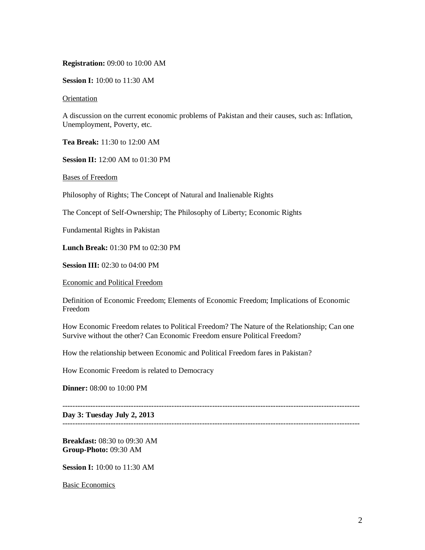#### **Registration:** 09:00 to 10:00 AM

**Session I:** 10:00 to 11:30 AM

Orientation

A discussion on the current economic problems of Pakistan and their causes, such as: Inflation, Unemployment, Poverty, etc.

**Tea Break:** 11:30 to 12:00 AM

**Session II:** 12:00 AM to 01:30 PM

Bases of Freedom

Philosophy of Rights; The Concept of Natural and Inalienable Rights

The Concept of Self-Ownership; The Philosophy of Liberty; Economic Rights

Fundamental Rights in Pakistan

**Lunch Break:** 01:30 PM to 02:30 PM

**Session III:** 02:30 to 04:00 PM

Economic and Political Freedom

Definition of Economic Freedom; Elements of Economic Freedom; Implications of Economic Freedom

How Economic Freedom relates to Political Freedom? The Nature of the Relationship; Can one Survive without the other? Can Economic Freedom ensure Political Freedom?

---------------------------------------------------------------------------------------------------------------------

---------------------------------------------------------------------------------------------------------------------

How the relationship between Economic and Political Freedom fares in Pakistan?

How Economic Freedom is related to Democracy

**Dinner:** 08:00 to 10:00 PM

**Day 3: Tuesday July 2, 2013**

**Breakfast:** 08:30 to 09:30 AM **Group-Photo:** 09:30 AM

**Session I:** 10:00 to 11:30 AM

Basic Economics